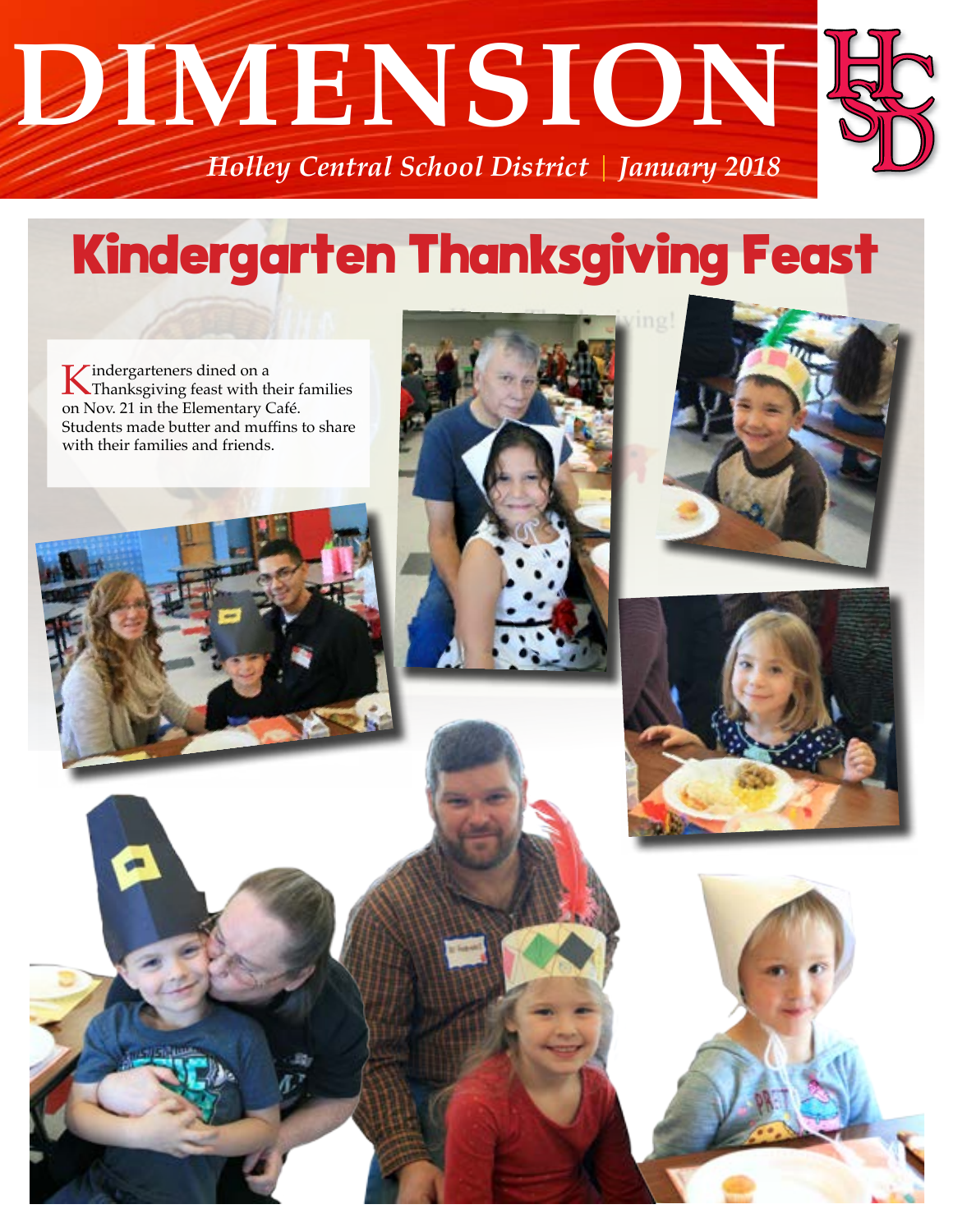

## Kindergarten Thanksgiving Feast

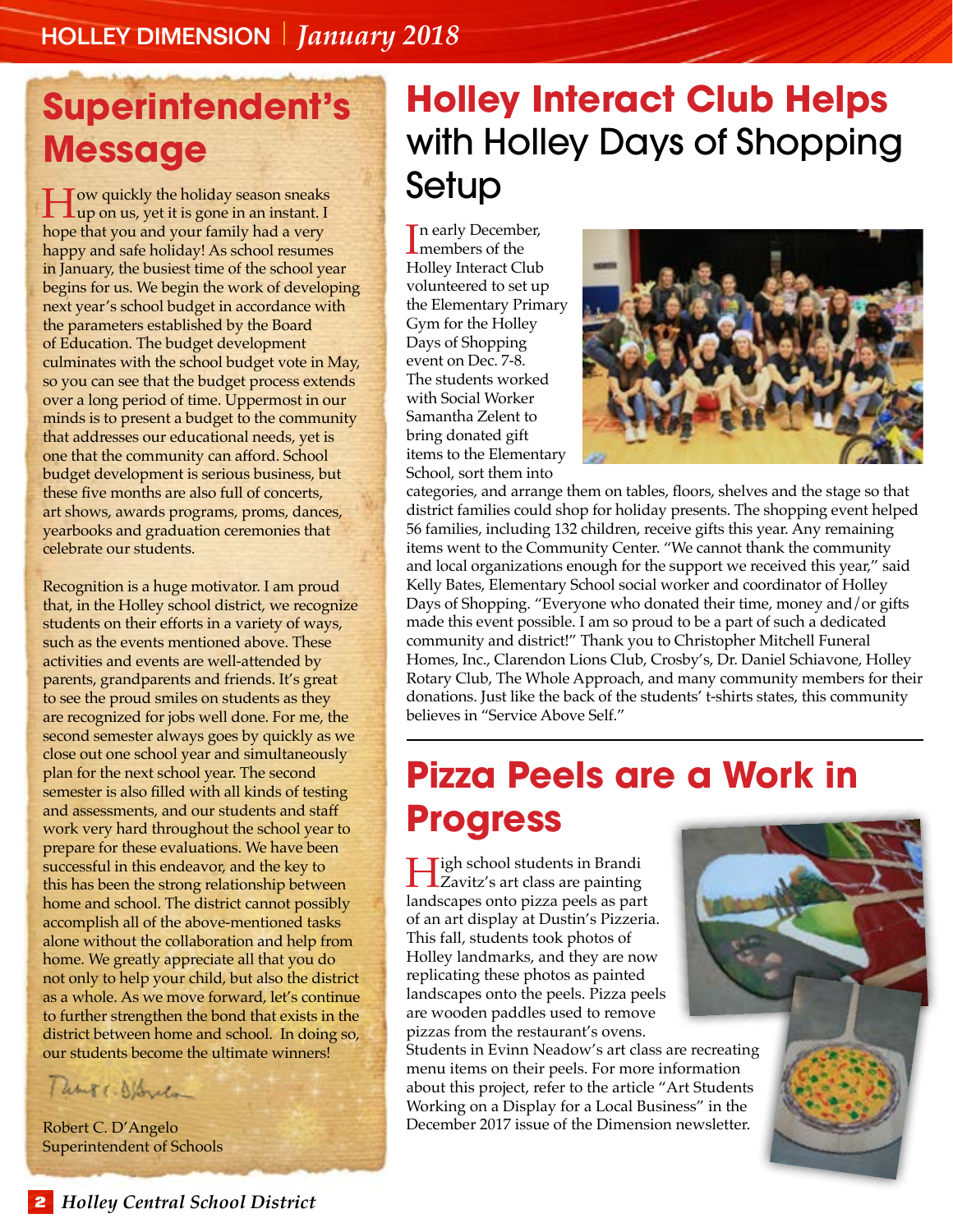### **Superintendent's Message**

**H**ow quickly the holiday season sneaks<br>
up on us, yet it is gone in an instant. I hope that you and your family had a very happy and safe holiday! As school resumes in January, the busiest time of the school year begins for us. We begin the work of developing next year's school budget in accordance with the parameters established by the Board of Education. The budget development culminates with the school budget vote in May, so you can see that the budget process extends over a long period of time. Uppermost in our minds is to present a budget to the community that addresses our educational needs, yet is one that the community can afford. School budget development is serious business, but these five months are also full of concerts, art shows, awards programs, proms, dances, yearbooks and graduation ceremonies that celebrate our students.

Recognition is a huge motivator. I am proud that, in the Holley school district, we recognize students on their efforts in a variety of ways, such as the events mentioned above. These activities and events are well-attended by parents, grandparents and friends. It's great to see the proud smiles on students as they are recognized for jobs well done. For me, the second semester always goes by quickly as we close out one school year and simultaneously plan for the next school year. The second semester is also filled with all kinds of testing and assessments, and our students and staff work very hard throughout the school year to prepare for these evaluations. We have been successful in this endeavor, and the key to this has been the strong relationship between home and school. The district cannot possibly accomplish all of the above-mentioned tasks alone without the collaboration and help from home. We greatly appreciate all that you do not only to help your child, but also the district as a whole. As we move forward, let's continue to further strengthen the bond that exists in the district between home and school. In doing so, our students become the ultimate winners!

Permit C. Alfreda

Robert C. D'Angelo Superintendent of Schools

### **Holley Interact Club Helps** with Holley Days of Shopping **Setup**

In early December<br>
Hellen Internet Gl In early December, Holley Interact Club volunteered to set up the Elementary Primary Gym for the Holley Days of Shopping event on Dec. 7-8. The students worked with Social Worker Samantha Zelent to bring donated gift items to the Elementary School, sort them into



categories, and arrange them on tables, floors, shelves and the stage so that district families could shop for holiday presents. The shopping event helped 56 families, including 132 children, receive gifts this year. Any remaining items went to the Community Center. "We cannot thank the community and local organizations enough for the support we received this year," said Kelly Bates, Elementary School social worker and coordinator of Holley Days of Shopping. "Everyone who donated their time, money and/or gifts made this event possible. I am so proud to be a part of such a dedicated community and district!" Thank you to Christopher Mitchell Funeral Homes, Inc., Clarendon Lions Club, Crosby's, Dr. Daniel Schiavone, Holley Rotary Club, The Whole Approach, and many community members for their donations. Just like the back of the students' t-shirts states, this community believes in "Service Above Self."

### **Pizza Peels are a Work in Progress**

High school students in Brandi Zavitz's art class are painting landscapes onto pizza peels as part of an art display at Dustin's Pizzeria. This fall, students took photos of Holley landmarks, and they are now replicating these photos as painted landscapes onto the peels. Pizza peels are wooden paddles used to remove pizzas from the restaurant's ovens.

Students in Evinn Neadow's art class are recreating menu items on their peels. For more information about this project, refer to the article "Art Students Working on a Display for a Local Business" in the December 2017 issue of the Dimension newsletter.

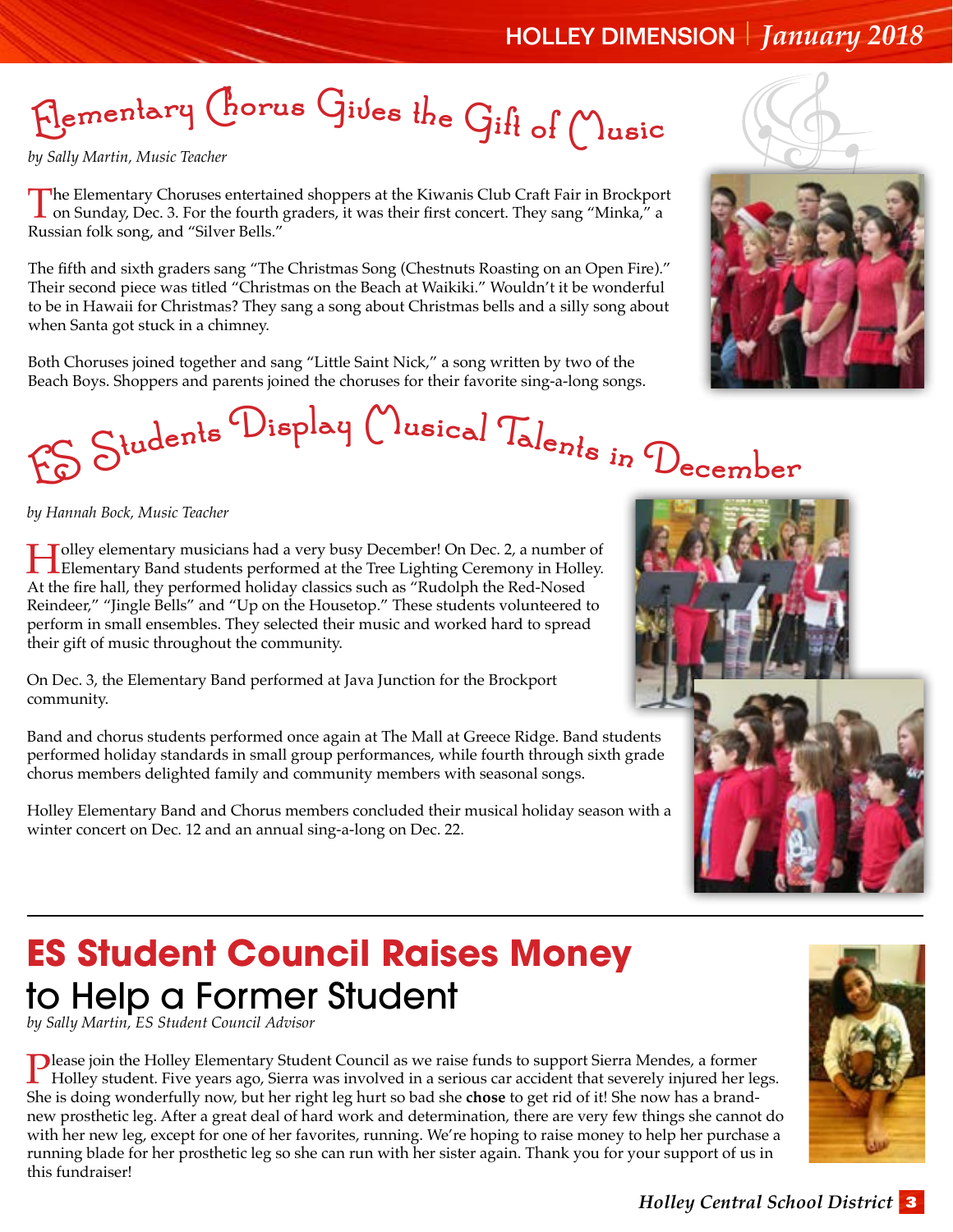#### Holley Dimension *January 2018*

# Flementary Chorus Gives the Gift of Music

*by Sally Martin, Music Teacher*

The Elementary Choruses entertained shoppers at the Kiwanis Club Craft Fair in Brockport<br>on Sunday, Dec. 3. For the fourth graders, it was their first concert. They sang "Minka," a<br>Reggian following and "Gilver Balls". Russian folk song, and "Silver Bells."

The fifth and sixth graders sang "The Christmas Song (Chestnuts Roasting on an Open Fire)." Their second piece was titled "Christmas on the Beach at Waikiki." Wouldn't it be wonderful to be in Hawaii for Christmas? They sang a song about Christmas bells and a silly song about when Santa got stuck in a chimney.

Both Choruses joined together and sang "Little Saint Nick," a song written by two of the Beach Boys. Shoppers and parents joined the choruses for their favorite sing-a-long songs.

# as Students Display (Nusical Talents in December

*by Hannah Bock, Music Teacher*

Folley elementary musicians had a very busy December! On Dec. 2, a number of Elementary Band students performed at the Tree Lighting Ceremony in Holley. At the fire hall, they performed holiday classics such as "Rudolph the Red-Nosed Reindeer," "Jingle Bells" and "Up on the Housetop." These students volunteered to perform in small ensembles. They selected their music and worked hard to spread their gift of music throughout the community.

On Dec. 3, the Elementary Band performed at Java Junction for the Brockport community.

Band and chorus students performed once again at The Mall at Greece Ridge. Band students performed holiday standards in small group performances, while fourth through sixth grade chorus members delighted family and community members with seasonal songs.

Holley Elementary Band and Chorus members concluded their musical holiday season with a winter concert on Dec. 12 and an annual sing-a-long on Dec. 22.

### **ES Student Council Raises Money**  to Help a Former Student

*by Sally Martin, ES Student Council Advisor*

**P**lease join the Holley Elementary Student Council as we raise funds to support Sierra Mendes, a former Holley student. Five years ago, Sierra was involved in a serious car accident that severely injured her legs. She is She is doing wonderfully now, but her right leg hurt so bad she **chose** to get rid of it! She now has a brandnew prosthetic leg. After a great deal of hard work and determination, there are very few things she cannot do with her new leg, except for one of her favorites, running. We're hoping to raise money to help her purchase a running blade for her prosthetic leg so she can run with her sister again. Thank you for your support of us in this fundraiser!





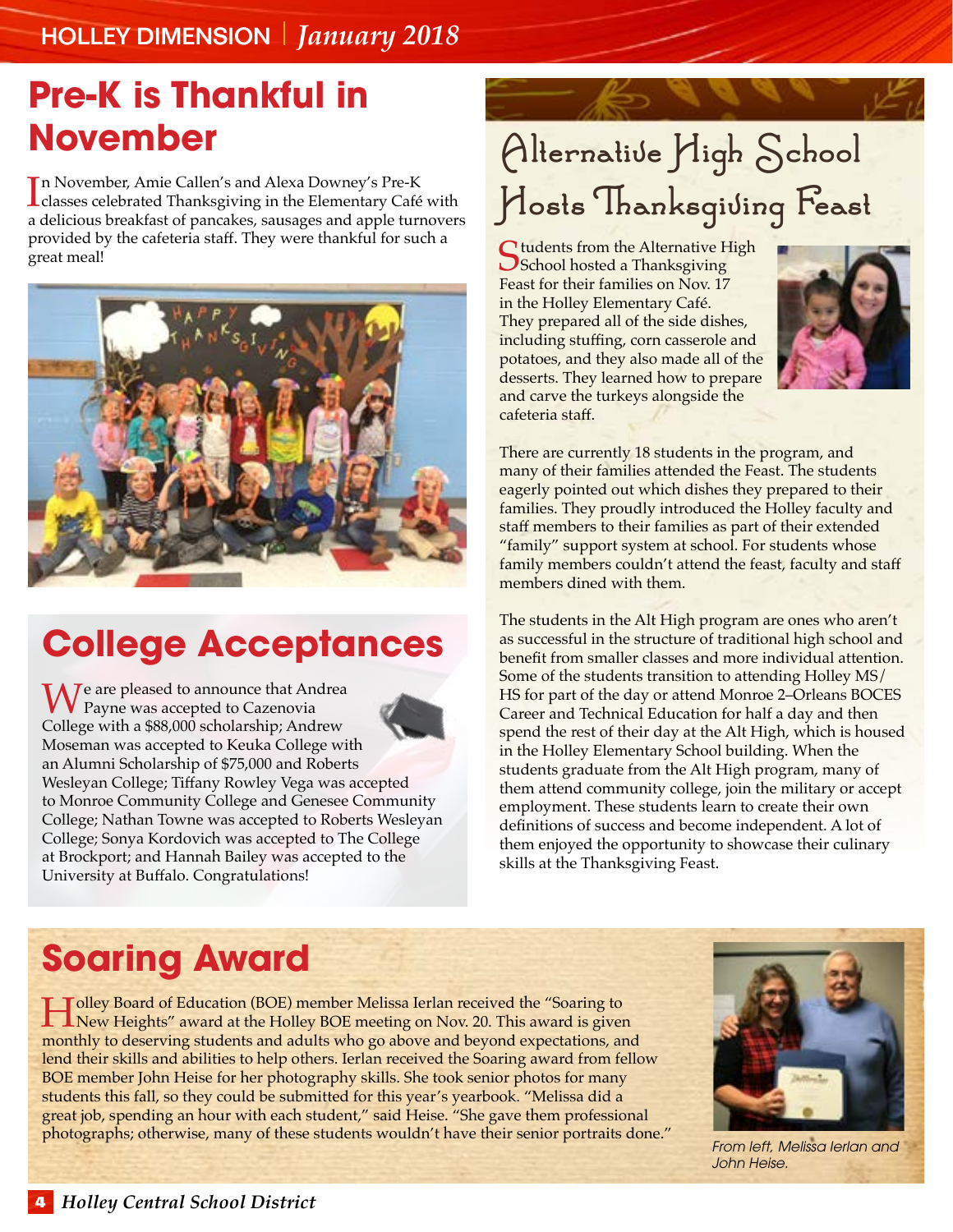### **Pre-K is Thankful in November**

In November, Amie Callen's and Alexa Downey's Pre-K<br>classes celebrated Thanksgiving in the Elementary Café with n November, Amie Callen's and Alexa Downey's Pre-K a delicious breakfast of pancakes, sausages and apple turnovers provided by the cafeteria staff. They were thankful for such a great meal!



### **College Acceptances**

We are pleased to announce that Andrea<br>
Payne was accepted to Cazenovia<br>
Callage with a \$98,000 askelseshing Andrew College with a \$88,000 scholarship; Andrew Moseman was accepted to Keuka College with an Alumni Scholarship of \$75,000 and Roberts Wesleyan College; Tiffany Rowley Vega was accepted to Monroe Community College and Genesee Community College; Nathan Towne was accepted to Roberts Wesleyan College; Sonya Kordovich was accepted to The College at Brockport; and Hannah Bailey was accepted to the University at Buffalo. Congratulations!

### **Alternative High School Hosts Thanksgiving Feast**

C tudents from the Alternative High School hosted a Thanksgiving Feast for their families on Nov. 17 in the Holley Elementary Café. They prepared all of the side dishes, including stuffing, corn casserole and potatoes, and they also made all of the desserts. They learned how to prepare and carve the turkeys alongside the cafeteria staff.



There are currently 18 students in the program, and many of their families attended the Feast. The students eagerly pointed out which dishes they prepared to their families. They proudly introduced the Holley faculty and staff members to their families as part of their extended "family" support system at school. For students whose family members couldn't attend the feast, faculty and staff members dined with them.

The students in the Alt High program are ones who aren't as successful in the structure of traditional high school and benefit from smaller classes and more individual attention. Some of the students transition to attending Holley MS/ HS for part of the day or attend Monroe 2–Orleans BOCES Career and Technical Education for half a day and then spend the rest of their day at the Alt High, which is housed in the Holley Elementary School building. When the students graduate from the Alt High program, many of them attend community college, join the military or accept employment. These students learn to create their own definitions of success and become independent. A lot of them enjoyed the opportunity to showcase their culinary skills at the Thanksgiving Feast.

### **Soaring Award**

I Holley Board of Education (BOE) member Melissa Ierlan received the "Soaring to New Heights" award at the Holley BOE meeting on Nov. 20. This award is given monthly to deserving students and adults who go above and beyond expectations, and lend their skills and abilities to help others. Ierlan received the Soaring award from fellow BOE member John Heise for her photography skills. She took senior photos for many students this fall, so they could be submitted for this year's yearbook. "Melissa did a great job, spending an hour with each student," said Heise. "She gave them professional photographs; otherwise, many of these students wouldn't have their senior portraits done." *From left, Melissa Ierlan and* 



*John Heise.*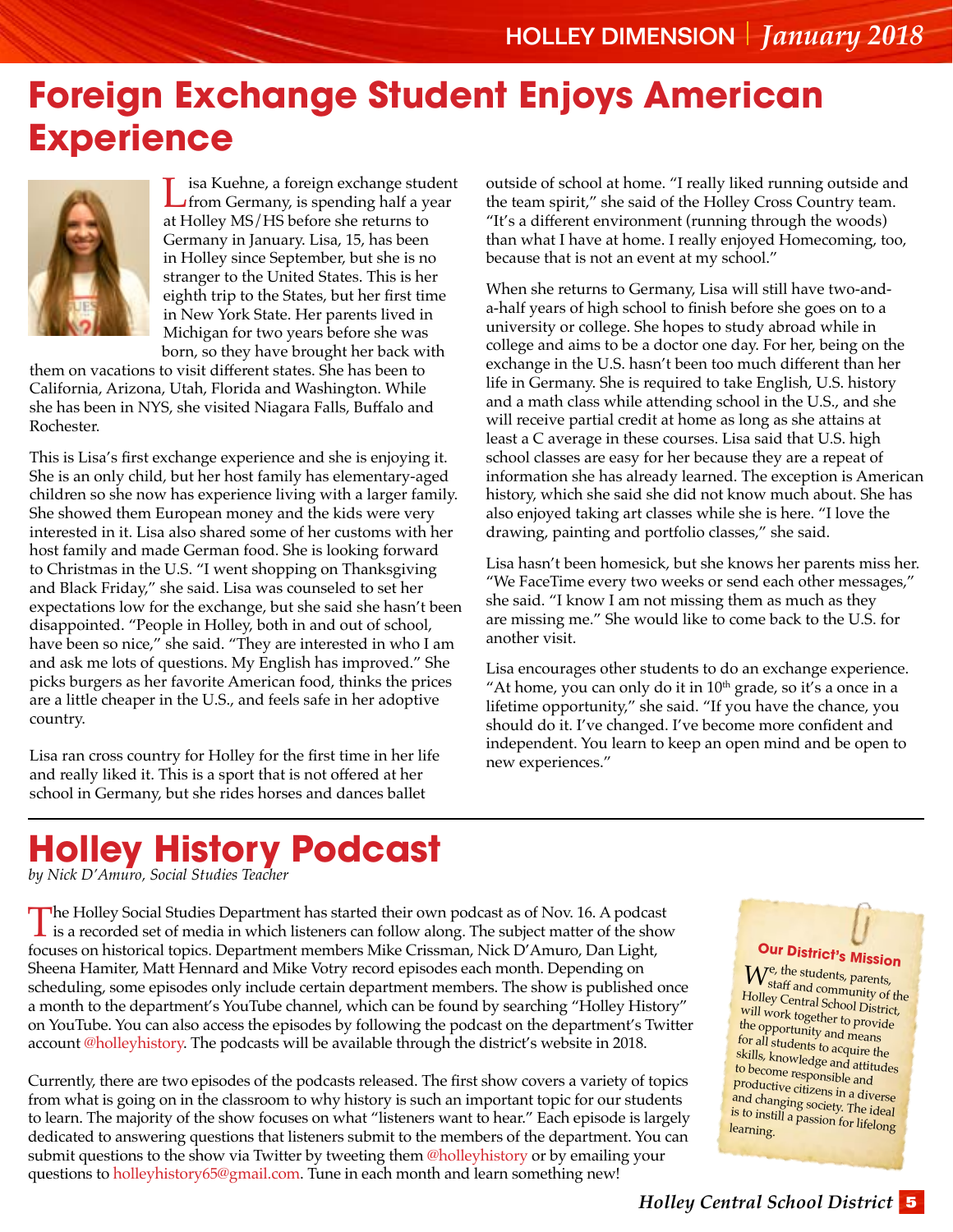### **Foreign Exchange Student Enjoys American Experience**



Lisa Kuehne, a foreign exchange student<br>
from Germany, is spending half a year<br>
the Usland of the form also astume to at Holley MS/HS before she returns to Germany in January. Lisa, 15, has been in Holley since September, but she is no stranger to the United States. This is her eighth trip to the States, but her first time in New York State. Her parents lived in Michigan for two years before she was born, so they have brought her back with

them on vacations to visit different states. She has been to California, Arizona, Utah, Florida and Washington. While she has been in NYS, she visited Niagara Falls, Buffalo and Rochester.

This is Lisa's first exchange experience and she is enjoying it. She is an only child, but her host family has elementary-aged children so she now has experience living with a larger family. She showed them European money and the kids were very interested in it. Lisa also shared some of her customs with her host family and made German food. She is looking forward to Christmas in the U.S. "I went shopping on Thanksgiving and Black Friday," she said. Lisa was counseled to set her expectations low for the exchange, but she said she hasn't been disappointed. "People in Holley, both in and out of school, have been so nice," she said. "They are interested in who I am and ask me lots of questions. My English has improved." She picks burgers as her favorite American food, thinks the prices are a little cheaper in the U.S., and feels safe in her adoptive country.

Lisa ran cross country for Holley for the first time in her life and really liked it. This is a sport that is not offered at her school in Germany, but she rides horses and dances ballet

outside of school at home. "I really liked running outside and the team spirit," she said of the Holley Cross Country team. "It's a different environment (running through the woods) than what I have at home. I really enjoyed Homecoming, too, because that is not an event at my school."

When she returns to Germany, Lisa will still have two-anda-half years of high school to finish before she goes on to a university or college. She hopes to study abroad while in college and aims to be a doctor one day. For her, being on the exchange in the U.S. hasn't been too much different than her life in Germany. She is required to take English, U.S. history and a math class while attending school in the U.S., and she will receive partial credit at home as long as she attains at least a C average in these courses. Lisa said that U.S. high school classes are easy for her because they are a repeat of information she has already learned. The exception is American history, which she said she did not know much about. She has also enjoyed taking art classes while she is here. "I love the drawing, painting and portfolio classes," she said.

Lisa hasn't been homesick, but she knows her parents miss her. "We FaceTime every two weeks or send each other messages," she said. "I know I am not missing them as much as they are missing me." She would like to come back to the U.S. for another visit.

Lisa encourages other students to do an exchange experience. "At home, you can only do it in  $10<sup>th</sup>$  grade, so it's a once in a lifetime opportunity," she said. "If you have the chance, you should do it. I've changed. I've become more confident and independent. You learn to keep an open mind and be open to new experiences."

### **Holley History Podcast**

*by Nick D'Amuro, Social Studies Teacher*

The Holley Social Studies Department has started their own podcast as of Nov. 16. A podcast<br>is a recorded set of media in which listeners can follow along. The subject matter of the show<br>forware on historical texts. Depart focuses on historical topics. Department members Mike Crissman, Nick D'Amuro, Dan Light, Sheena Hamiter, Matt Hennard and Mike Votry record episodes each month. Depending on scheduling, some episodes only include certain department members. The show is published once a month to the department's YouTube channel, which can be found by searching "Holley History" on YouTube. You can also access the episodes by following the podcast on the department's Twitter account @holleyhistory. The podcasts will be available through the district's website in 2018.

Currently, there are two episodes of the podcasts released. The first show covers a variety of topics from what is going on in the classroom to why history is such an important topic for our students to learn. The majority of the show focuses on what "listeners want to hear." Each episode is largely dedicated to answering questions that listeners submit to the members of the department. You can submit questions to the show via Twitter by tweeting them @holleyhistory or by emailing your questions to [holleyhistory65@gmail.com.](mailto:holleyhistory65@gmail.com) Tune in each month and learn something new!

**Our District's Mission**

 $W_{\text{staff and}}^{\text{e, the students, parents}}$ staff and community of the Holley Central School District, will work together to provide the opportunity and means for all students to acquire the skills, knowledge and attitudes to become responsible and productive citizens in a diverse and changing society. The ideal is to instill a passion for lifelong learning.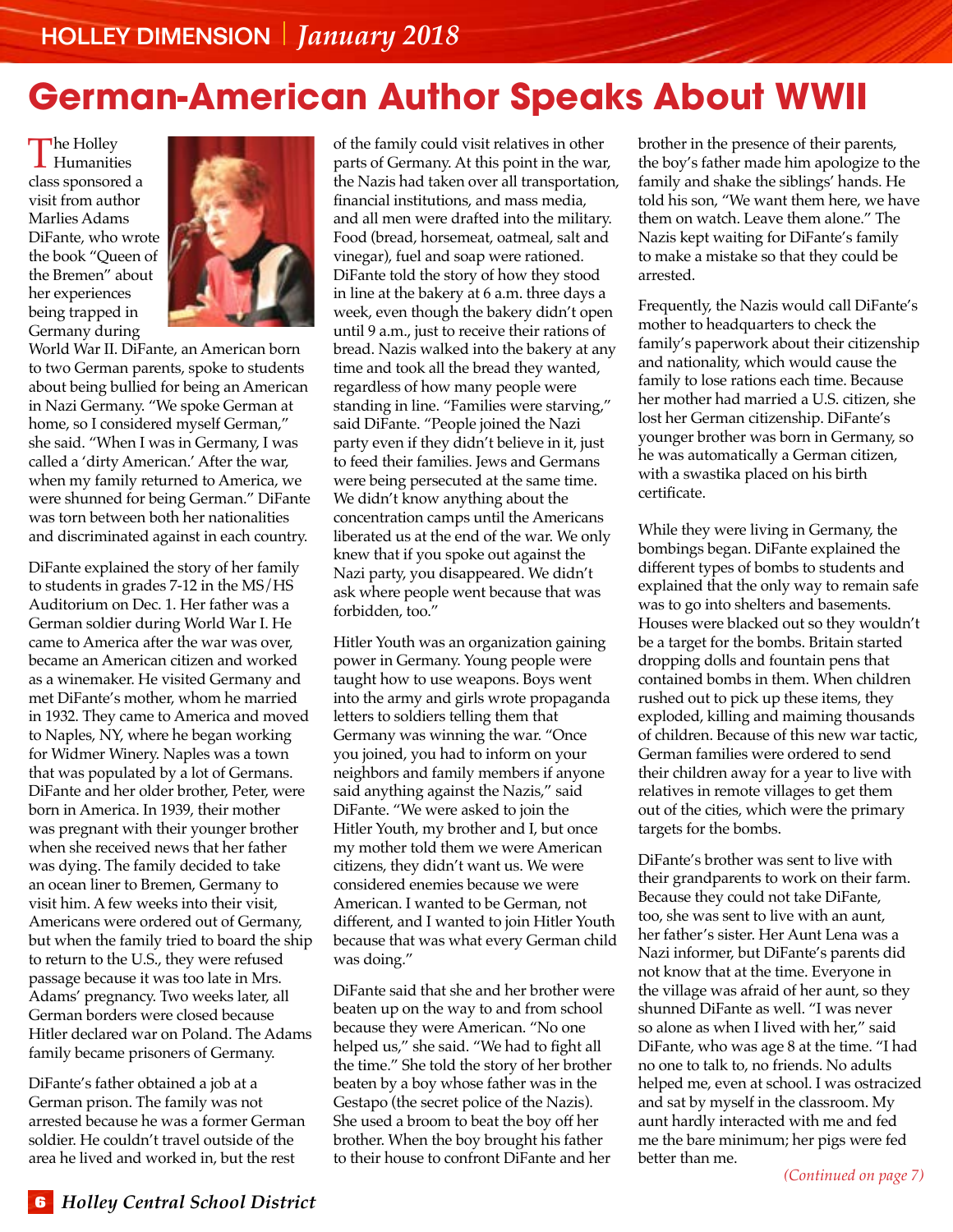### **German-American Author Speaks About WWII**

The Holley<br>
Humanities<br>
shopped class sponsored a visit from author Marlies Adams DiFante, who wrote the book "Queen of the Bremen" about her experiences being trapped in Germany during



World War II. DiFante, an American born to two German parents, spoke to students about being bullied for being an American in Nazi Germany. "We spoke German at home, so I considered myself German," she said. "When I was in Germany, I was called a 'dirty American.' After the war, when my family returned to America, we were shunned for being German." DiFante was torn between both her nationalities and discriminated against in each country.

DiFante explained the story of her family to students in grades 7-12 in the MS/HS Auditorium on Dec. 1. Her father was a German soldier during World War I. He came to America after the war was over, became an American citizen and worked as a winemaker. He visited Germany and met DiFante's mother, whom he married in 1932. They came to America and moved to Naples, NY, where he began working for Widmer Winery. Naples was a town that was populated by a lot of Germans. DiFante and her older brother, Peter, were born in America. In 1939, their mother was pregnant with their younger brother when she received news that her father was dying. The family decided to take an ocean liner to Bremen, Germany to visit him. A few weeks into their visit, Americans were ordered out of Germany, but when the family tried to board the ship to return to the U.S., they were refused passage because it was too late in Mrs. Adams' pregnancy. Two weeks later, all German borders were closed because Hitler declared war on Poland. The Adams family became prisoners of Germany.

DiFante's father obtained a job at a German prison. The family was not arrested because he was a former German soldier. He couldn't travel outside of the area he lived and worked in, but the rest

of the family could visit relatives in other parts of Germany. At this point in the war, the Nazis had taken over all transportation, financial institutions, and mass media, and all men were drafted into the military. Food (bread, horsemeat, oatmeal, salt and vinegar), fuel and soap were rationed. DiFante told the story of how they stood in line at the bakery at 6 a.m. three days a week, even though the bakery didn't open until 9 a.m., just to receive their rations of bread. Nazis walked into the bakery at any time and took all the bread they wanted, regardless of how many people were standing in line. "Families were starving," said DiFante. "People joined the Nazi party even if they didn't believe in it, just to feed their families. Jews and Germans were being persecuted at the same time. We didn't know anything about the concentration camps until the Americans liberated us at the end of the war. We only knew that if you spoke out against the Nazi party, you disappeared. We didn't ask where people went because that was forbidden, too."

Hitler Youth was an organization gaining power in Germany. Young people were taught how to use weapons. Boys went into the army and girls wrote propaganda letters to soldiers telling them that Germany was winning the war. "Once you joined, you had to inform on your neighbors and family members if anyone said anything against the Nazis," said DiFante. "We were asked to join the Hitler Youth, my brother and I, but once my mother told them we were American citizens, they didn't want us. We were considered enemies because we were American. I wanted to be German, not different, and I wanted to join Hitler Youth because that was what every German child was doing."

DiFante said that she and her brother were beaten up on the way to and from school because they were American. "No one helped us," she said. "We had to fight all the time." She told the story of her brother beaten by a boy whose father was in the Gestapo (the secret police of the Nazis). She used a broom to beat the boy off her brother. When the boy brought his father to their house to confront DiFante and her

brother in the presence of their parents, the boy's father made him apologize to the family and shake the siblings' hands. He told his son, "We want them here, we have them on watch. Leave them alone." The Nazis kept waiting for DiFante's family to make a mistake so that they could be arrested.

Frequently, the Nazis would call DiFante's mother to headquarters to check the family's paperwork about their citizenship and nationality, which would cause the family to lose rations each time. Because her mother had married a U.S. citizen, she lost her German citizenship. DiFante's younger brother was born in Germany, so he was automatically a German citizen, with a swastika placed on his birth certificate.

While they were living in Germany, the bombings began. DiFante explained the different types of bombs to students and explained that the only way to remain safe was to go into shelters and basements. Houses were blacked out so they wouldn't be a target for the bombs. Britain started dropping dolls and fountain pens that contained bombs in them. When children rushed out to pick up these items, they exploded, killing and maiming thousands of children. Because of this new war tactic, German families were ordered to send their children away for a year to live with relatives in remote villages to get them out of the cities, which were the primary targets for the bombs.

DiFante's brother was sent to live with their grandparents to work on their farm. Because they could not take DiFante, too, she was sent to live with an aunt, her father's sister. Her Aunt Lena was a Nazi informer, but DiFante's parents did not know that at the time. Everyone in the village was afraid of her aunt, so they shunned DiFante as well. "I was never so alone as when I lived with her," said DiFante, who was age 8 at the time. "I had no one to talk to, no friends. No adults helped me, even at school. I was ostracized and sat by myself in the classroom. My aunt hardly interacted with me and fed me the bare minimum; her pigs were fed better than me.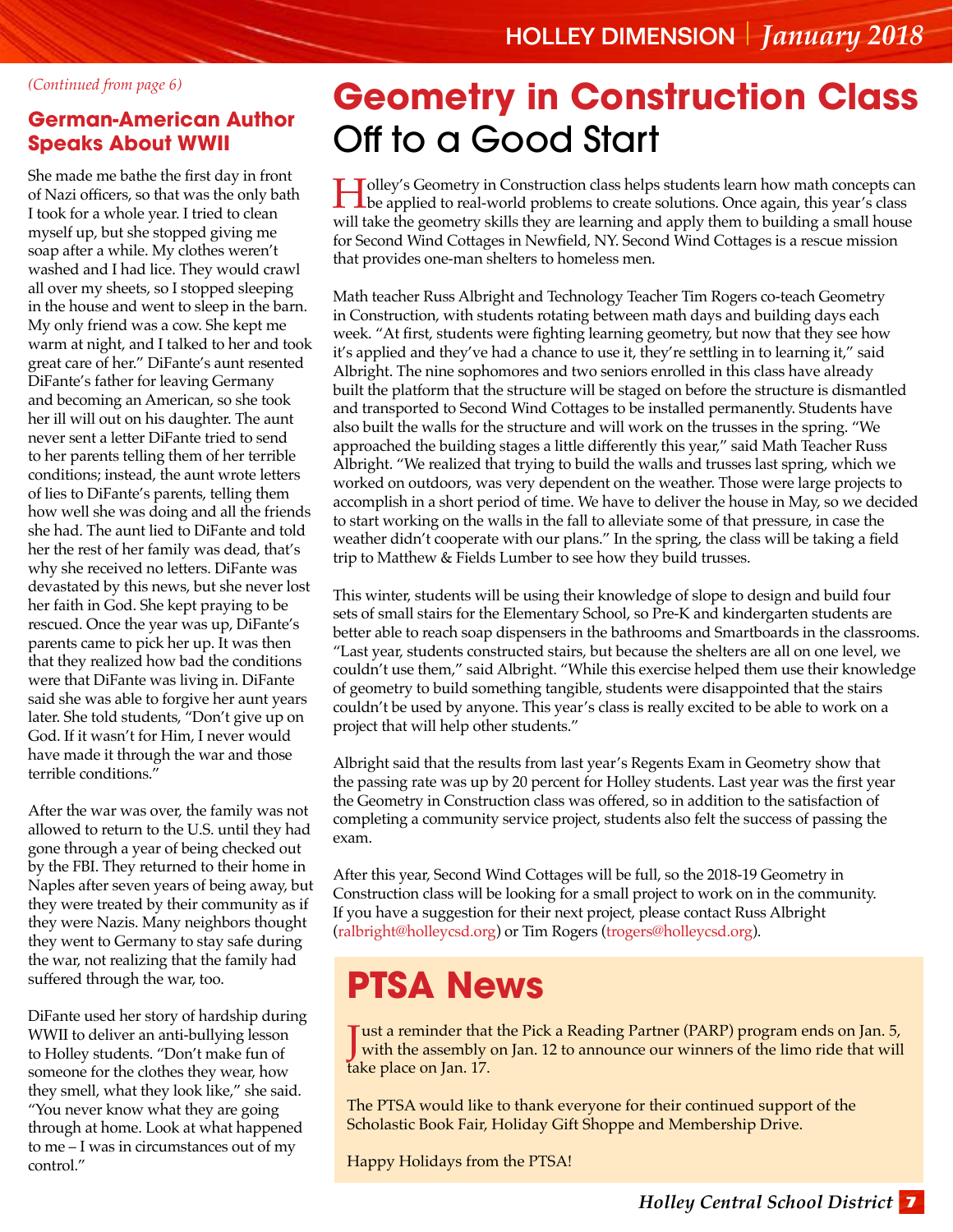#### **German-American Author Speaks About WWII**

She made me bathe the first day in front of Nazi officers, so that was the only bath I took for a whole year. I tried to clean myself up, but she stopped giving me soap after a while. My clothes weren't washed and I had lice. They would crawl all over my sheets, so I stopped sleeping in the house and went to sleep in the barn. My only friend was a cow. She kept me warm at night, and I talked to her and took great care of her." DiFante's aunt resented DiFante's father for leaving Germany and becoming an American, so she took her ill will out on his daughter. The aunt never sent a letter DiFante tried to send to her parents telling them of her terrible conditions; instead, the aunt wrote letters of lies to DiFante's parents, telling them how well she was doing and all the friends she had. The aunt lied to DiFante and told her the rest of her family was dead, that's why she received no letters. DiFante was devastated by this news, but she never lost her faith in God. She kept praying to be rescued. Once the year was up, DiFante's parents came to pick her up. It was then that they realized how bad the conditions were that DiFante was living in. DiFante said she was able to forgive her aunt years later. She told students, "Don't give up on God. If it wasn't for Him, I never would have made it through the war and those terrible conditions."

After the war was over, the family was not allowed to return to the U.S. until they had gone through a year of being checked out by the FBI. They returned to their home in Naples after seven years of being away, but they were treated by their community as if they were Nazis. Many neighbors thought they went to Germany to stay safe during the war, not realizing that the family had suffered through the war, too.

DiFante used her story of hardship during WWII to deliver an anti-bullying lesson to Holley students. "Don't make fun of someone for the clothes they wear, how they smell, what they look like," she said. "You never know what they are going through at home. Look at what happened to me – I was in circumstances out of my control."

### **Geometry in Construction Class**  Off to a Good Start

I Solley's Geometry in Construction class helps students learn how math concepts can be applied to real-world problems to create solutions. Once again, this year's class will take the geometry skills they are learning and apply them to building a small house for Second Wind Cottages in Newfield, NY. Second Wind Cottages is a rescue mission that provides one-man shelters to homeless men.

Math teacher Russ Albright and Technology Teacher Tim Rogers co-teach Geometry in Construction, with students rotating between math days and building days each week. "At first, students were fighting learning geometry, but now that they see how it's applied and they've had a chance to use it, they're settling in to learning it," said Albright. The nine sophomores and two seniors enrolled in this class have already built the platform that the structure will be staged on before the structure is dismantled and transported to Second Wind Cottages to be installed permanently. Students have also built the walls for the structure and will work on the trusses in the spring. "We approached the building stages a little differently this year," said Math Teacher Russ Albright. "We realized that trying to build the walls and trusses last spring, which we worked on outdoors, was very dependent on the weather. Those were large projects to accomplish in a short period of time. We have to deliver the house in May, so we decided to start working on the walls in the fall to alleviate some of that pressure, in case the weather didn't cooperate with our plans." In the spring, the class will be taking a field trip to Matthew & Fields Lumber to see how they build trusses.

This winter, students will be using their knowledge of slope to design and build four sets of small stairs for the Elementary School, so Pre-K and kindergarten students are better able to reach soap dispensers in the bathrooms and Smartboards in the classrooms. "Last year, students constructed stairs, but because the shelters are all on one level, we couldn't use them," said Albright. "While this exercise helped them use their knowledge of geometry to build something tangible, students were disappointed that the stairs couldn't be used by anyone. This year's class is really excited to be able to work on a project that will help other students."

Albright said that the results from last year's Regents Exam in Geometry show that the passing rate was up by 20 percent for Holley students. Last year was the first year the Geometry in Construction class was offered, so in addition to the satisfaction of completing a community service project, students also felt the success of passing the exam.

After this year, Second Wind Cottages will be full, so the 2018-19 Geometry in Construction class will be looking for a small project to work on in the community. If you have a suggestion for their next project, please contact Russ Albright ([ralbright@holleycsd.org](mailto:ralbright@holleycsd.org)) or Tim Rogers ([trogers@holleycsd.org](mailto:trogers@holleycsd.org)).

### **PTSA News**

Just a reminder that the Pick a Reading Partner (PARP) program ends on Jan. 5,<br>with the assembly on Jan. 12 to announce our winners of the limo ride that will **Tust a reminder that the Pick a Reading Partner (PARP) program ends on Jan. 5,** take place on Jan. 17.

The PTSA would like to thank everyone for their continued support of the Scholastic Book Fair, Holiday Gift Shoppe and Membership Drive.

Happy Holidays from the PTSA!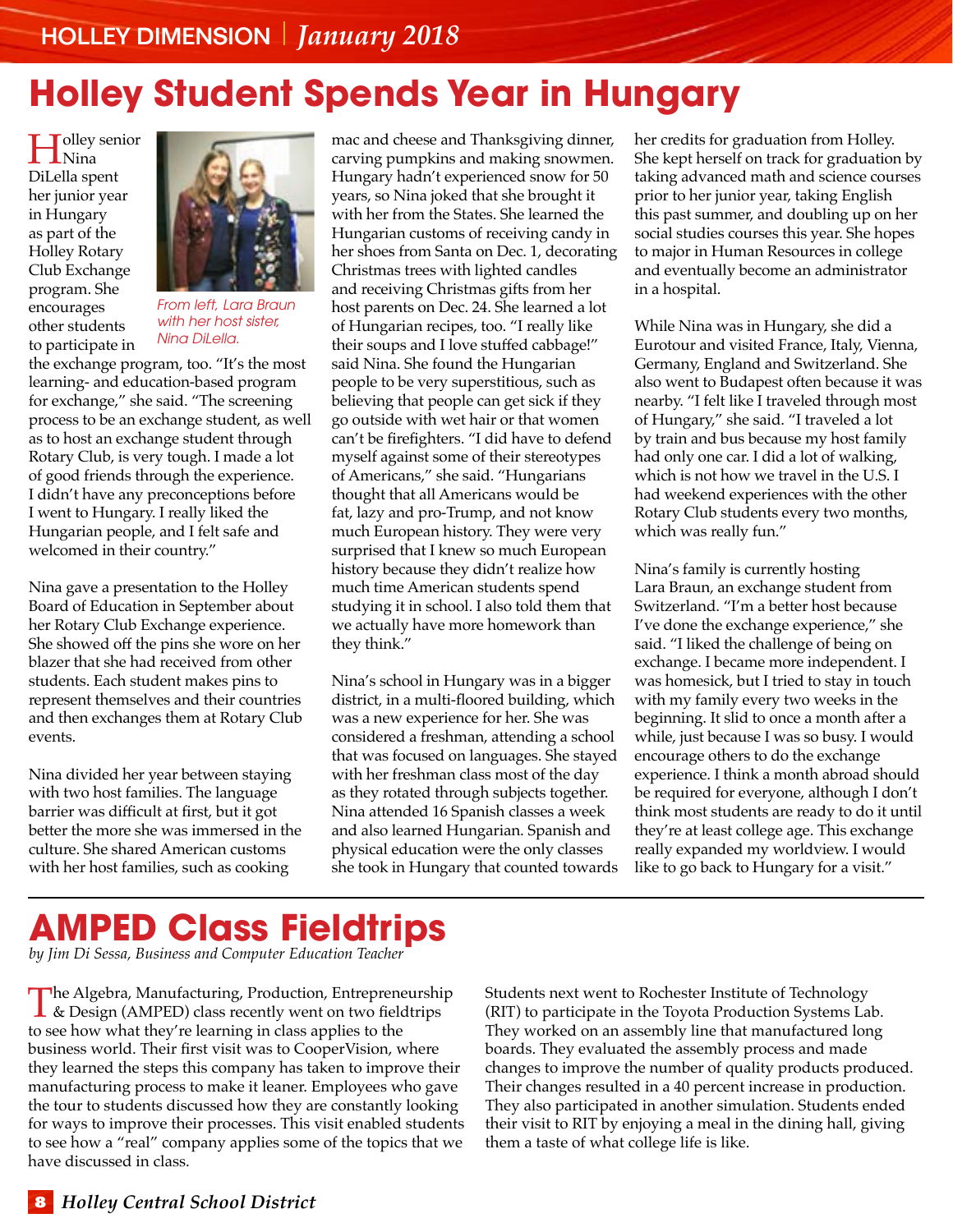### **Holley Student Spends Year in Hungary**

**H**olley senior<br>Dil elle enert DiLella spent her junior year in Hungary as part of the Holley Rotary Club Exchange program. She encourages other students to participate in



*From left, Lara Braun with her host sister, Nina DiLella.*

the exchange program, too. "It's the most learning- and education-based program for exchange," she said. "The screening process to be an exchange student, as well as to host an exchange student through Rotary Club, is very tough. I made a lot of good friends through the experience. I didn't have any preconceptions before I went to Hungary. I really liked the Hungarian people, and I felt safe and welcomed in their country."

Nina gave a presentation to the Holley Board of Education in September about her Rotary Club Exchange experience. She showed off the pins she wore on her blazer that she had received from other students. Each student makes pins to represent themselves and their countries and then exchanges them at Rotary Club events.

Nina divided her year between staying with two host families. The language barrier was difficult at first, but it got better the more she was immersed in the culture. She shared American customs with her host families, such as cooking

mac and cheese and Thanksgiving dinner, carving pumpkins and making snowmen. Hungary hadn't experienced snow for 50 years, so Nina joked that she brought it with her from the States. She learned the Hungarian customs of receiving candy in her shoes from Santa on Dec. 1, decorating Christmas trees with lighted candles and receiving Christmas gifts from her host parents on Dec. 24. She learned a lot of Hungarian recipes, too. "I really like their soups and I love stuffed cabbage!" said Nina. She found the Hungarian people to be very superstitious, such as believing that people can get sick if they go outside with wet hair or that women can't be firefighters. "I did have to defend myself against some of their stereotypes of Americans," she said. "Hungarians thought that all Americans would be fat, lazy and pro-Trump, and not know much European history. They were very surprised that I knew so much European history because they didn't realize how much time American students spend studying it in school. I also told them that we actually have more homework than they think."

Nina's school in Hungary was in a bigger district, in a multi-floored building, which was a new experience for her. She was considered a freshman, attending a school that was focused on languages. She stayed with her freshman class most of the day as they rotated through subjects together. Nina attended 16 Spanish classes a week and also learned Hungarian. Spanish and physical education were the only classes she took in Hungary that counted towards her credits for graduation from Holley. She kept herself on track for graduation by taking advanced math and science courses prior to her junior year, taking English this past summer, and doubling up on her social studies courses this year. She hopes to major in Human Resources in college and eventually become an administrator in a hospital.

While Nina was in Hungary, she did a Eurotour and visited France, Italy, Vienna, Germany, England and Switzerland. She also went to Budapest often because it was nearby. "I felt like I traveled through most of Hungary," she said. "I traveled a lot by train and bus because my host family had only one car. I did a lot of walking, which is not how we travel in the U.S. I had weekend experiences with the other Rotary Club students every two months, which was really fun."

Nina's family is currently hosting Lara Braun, an exchange student from Switzerland. "I'm a better host because I've done the exchange experience," she said. "I liked the challenge of being on exchange. I became more independent. I was homesick, but I tried to stay in touch with my family every two weeks in the beginning. It slid to once a month after a while, just because I was so busy. I would encourage others to do the exchange experience. I think a month abroad should be required for everyone, although I don't think most students are ready to do it until they're at least college age. This exchange really expanded my worldview. I would like to go back to Hungary for a visit."

### **AMPED Class Fieldtrips**

*by Jim Di Sessa, Business and Computer Education Teacher*

The Algebra, Manufacturing, Production, Entrepreneurship<br>
& Design (AMPED) class recently went on two fieldtrips<br>  $\frac{1}{2}$ to see how what they're learning in class applies to the business world. Their first visit was to CooperVision, where they learned the steps this company has taken to improve their manufacturing process to make it leaner. Employees who gave the tour to students discussed how they are constantly looking for ways to improve their processes. This visit enabled students to see how a "real" company applies some of the topics that we have discussed in class.

Students next went to Rochester Institute of Technology (RIT) to participate in the Toyota Production Systems Lab. They worked on an assembly line that manufactured long boards. They evaluated the assembly process and made changes to improve the number of quality products produced. Their changes resulted in a 40 percent increase in production. They also participated in another simulation. Students ended their visit to RIT by enjoying a meal in the dining hall, giving them a taste of what college life is like.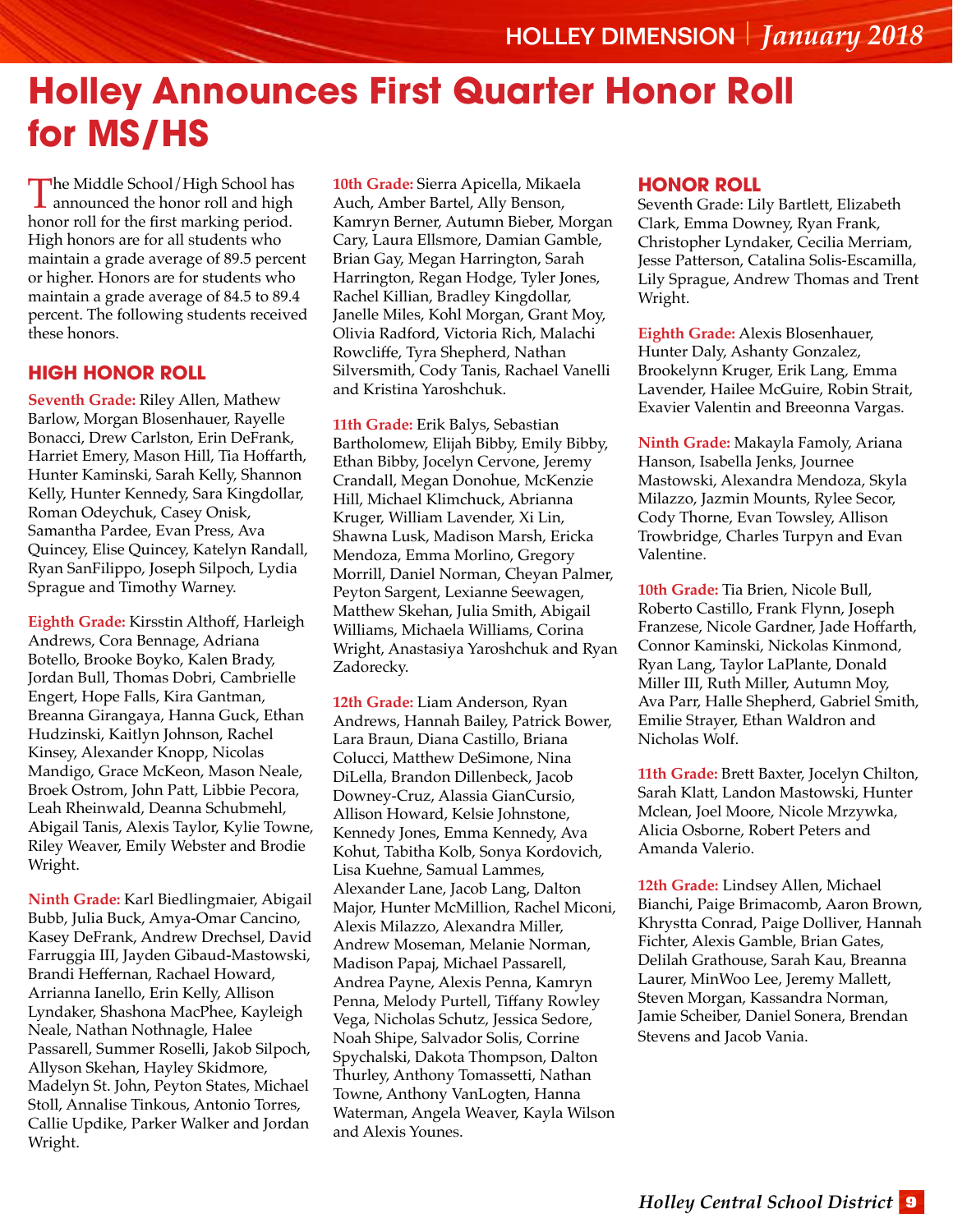### **Holley Announces First Quarter Honor Roll for MS/HS**

The Middle School/High School has<br>announced the honor roll and high<br>has a small for the first maghine a spiral honor roll for the first marking period. High honors are for all students who maintain a grade average of 89.5 percent or higher. Honors are for students who maintain a grade average of 84.5 to 89.4 percent. The following students received these honors.

#### **HIGH HONOR ROLL**

**Seventh Grade:** Riley Allen, Mathew Barlow, Morgan Blosenhauer, Rayelle Bonacci, Drew Carlston, Erin DeFrank, Harriet Emery, Mason Hill, Tia Hoffarth, Hunter Kaminski, Sarah Kelly, Shannon Kelly, Hunter Kennedy, Sara Kingdollar, Roman Odeychuk, Casey Onisk, Samantha Pardee, Evan Press, Ava Quincey, Elise Quincey, Katelyn Randall, Ryan SanFilippo, Joseph Silpoch, Lydia Sprague and Timothy Warney.

**Eighth Grade:** Kirsstin Althoff, Harleigh Andrews, Cora Bennage, Adriana Botello, Brooke Boyko, Kalen Brady, Jordan Bull, Thomas Dobri, Cambrielle Engert, Hope Falls, Kira Gantman, Breanna Girangaya, Hanna Guck, Ethan Hudzinski, Kaitlyn Johnson, Rachel Kinsey, Alexander Knopp, Nicolas Mandigo, Grace McKeon, Mason Neale, Broek Ostrom, John Patt, Libbie Pecora, Leah Rheinwald, Deanna Schubmehl, Abigail Tanis, Alexis Taylor, Kylie Towne, Riley Weaver, Emily Webster and Brodie Wright.

**Ninth Grade:** Karl Biedlingmaier, Abigail Bubb, Julia Buck, Amya-Omar Cancino, Kasey DeFrank, Andrew Drechsel, David Farruggia III, Jayden Gibaud-Mastowski, Brandi Heffernan, Rachael Howard, Arrianna Ianello, Erin Kelly, Allison Lyndaker, Shashona MacPhee, Kayleigh Neale, Nathan Nothnagle, Halee Passarell, Summer Roselli, Jakob Silpoch, Allyson Skehan, Hayley Skidmore, Madelyn St. John, Peyton States, Michael Stoll, Annalise Tinkous, Antonio Torres, Callie Updike, Parker Walker and Jordan Wright.

**10th Grade:** Sierra Apicella, Mikaela Auch, Amber Bartel, Ally Benson, Kamryn Berner, Autumn Bieber, Morgan Cary, Laura Ellsmore, Damian Gamble, Brian Gay, Megan Harrington, Sarah Harrington, Regan Hodge, Tyler Jones, Rachel Killian, Bradley Kingdollar, Janelle Miles, Kohl Morgan, Grant Moy, Olivia Radford, Victoria Rich, Malachi Rowcliffe, Tyra Shepherd, Nathan Silversmith, Cody Tanis, Rachael Vanelli and Kristina Yaroshchuk.

**11th Grade:** Erik Balys, Sebastian Bartholomew, Elijah Bibby, Emily Bibby, Ethan Bibby, Jocelyn Cervone, Jeremy Crandall, Megan Donohue, McKenzie Hill, Michael Klimchuck, Abrianna Kruger, William Lavender, Xi Lin, Shawna Lusk, Madison Marsh, Ericka Mendoza, Emma Morlino, Gregory Morrill, Daniel Norman, Cheyan Palmer, Peyton Sargent, Lexianne Seewagen, Matthew Skehan, Julia Smith, Abigail Williams, Michaela Williams, Corina Wright, Anastasiya Yaroshchuk and Ryan Zadorecky.

**12th Grade:** Liam Anderson, Ryan Andrews, Hannah Bailey, Patrick Bower, Lara Braun, Diana Castillo, Briana Colucci, Matthew DeSimone, Nina DiLella, Brandon Dillenbeck, Jacob Downey-Cruz, Alassia GianCursio, Allison Howard, Kelsie Johnstone, Kennedy Jones, Emma Kennedy, Ava Kohut, Tabitha Kolb, Sonya Kordovich, Lisa Kuehne, Samual Lammes, Alexander Lane, Jacob Lang, Dalton Major, Hunter McMillion, Rachel Miconi, Alexis Milazzo, Alexandra Miller, Andrew Moseman, Melanie Norman, Madison Papaj, Michael Passarell, Andrea Payne, Alexis Penna, Kamryn Penna, Melody Purtell, Tiffany Rowley Vega, Nicholas Schutz, Jessica Sedore, Noah Shipe, Salvador Solis, Corrine Spychalski, Dakota Thompson, Dalton Thurley, Anthony Tomassetti, Nathan Towne, Anthony VanLogten, Hanna Waterman, Angela Weaver, Kayla Wilson and Alexis Younes.

#### **HONOR ROLL**

Seventh Grade: Lily Bartlett, Elizabeth Clark, Emma Downey, Ryan Frank, Christopher Lyndaker, Cecilia Merriam, Jesse Patterson, Catalina Solis-Escamilla, Lily Sprague, Andrew Thomas and Trent Wright.

**Eighth Grade:** Alexis Blosenhauer, Hunter Daly, Ashanty Gonzalez, Brookelynn Kruger, Erik Lang, Emma Lavender, Hailee McGuire, Robin Strait, Exavier Valentin and Breeonna Vargas.

**Ninth Grade:** Makayla Famoly, Ariana Hanson, Isabella Jenks, Journee Mastowski, Alexandra Mendoza, Skyla Milazzo, Jazmin Mounts, Rylee Secor, Cody Thorne, Evan Towsley, Allison Trowbridge, Charles Turpyn and Evan Valentine.

**10th Grade:** Tia Brien, Nicole Bull, Roberto Castillo, Frank Flynn, Joseph Franzese, Nicole Gardner, Jade Hoffarth, Connor Kaminski, Nickolas Kinmond, Ryan Lang, Taylor LaPlante, Donald Miller III, Ruth Miller, Autumn Moy, Ava Parr, Halle Shepherd, Gabriel Smith, Emilie Strayer, Ethan Waldron and Nicholas Wolf.

**11th Grade:** Brett Baxter, Jocelyn Chilton, Sarah Klatt, Landon Mastowski, Hunter Mclean, Joel Moore, Nicole Mrzywka, Alicia Osborne, Robert Peters and Amanda Valerio.

**12th Grade:** Lindsey Allen, Michael Bianchi, Paige Brimacomb, Aaron Brown, Khrystta Conrad, Paige Dolliver, Hannah Fichter, Alexis Gamble, Brian Gates, Delilah Grathouse, Sarah Kau, Breanna Laurer, MinWoo Lee, Jeremy Mallett, Steven Morgan, Kassandra Norman, Jamie Scheiber, Daniel Sonera, Brendan Stevens and Jacob Vania.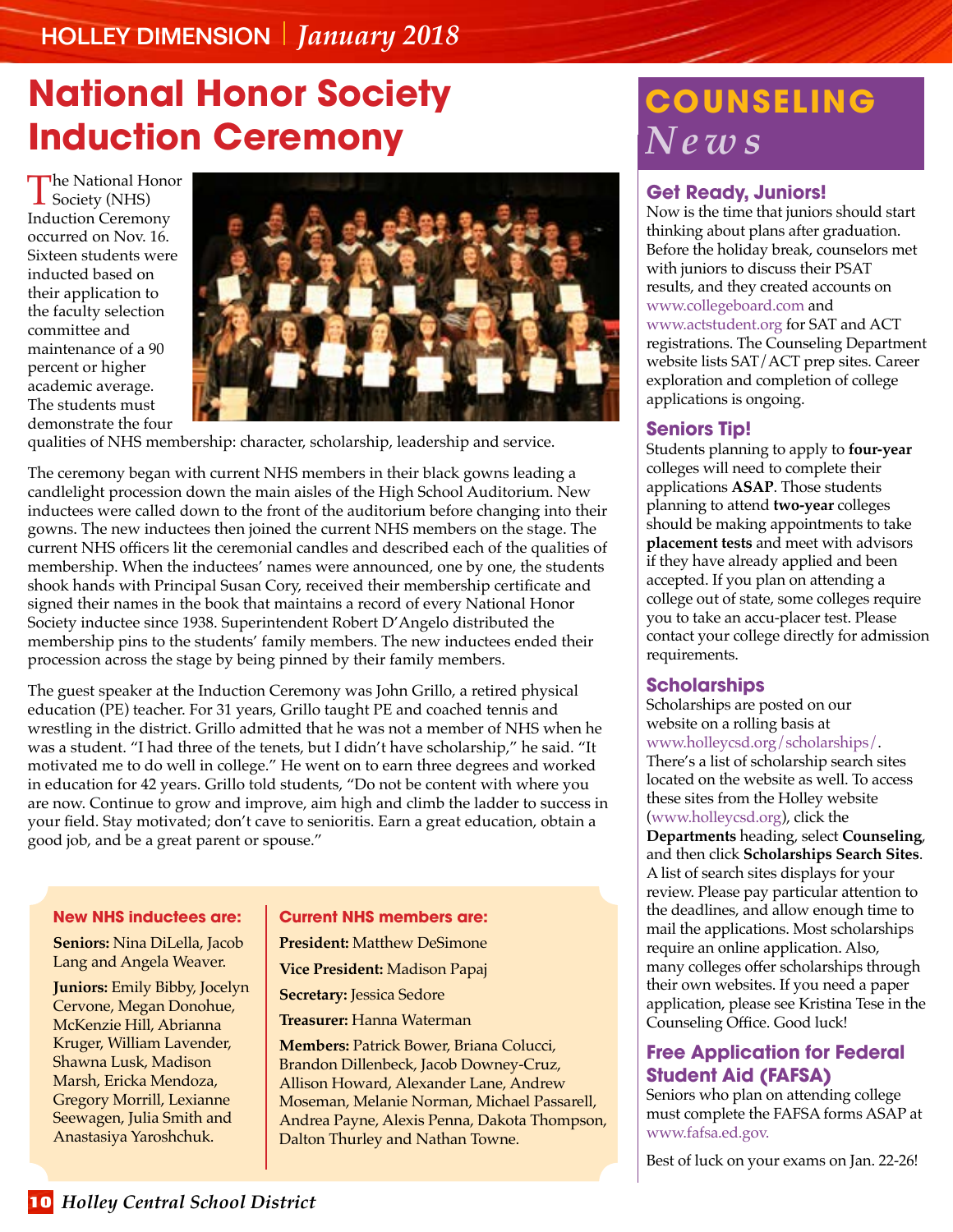### **National Honor Society Induction Ceremony**

The National Honor<br>Society (NHS)<br>Industion Generation Induction Ceremony occurred on Nov. 16. Sixteen students were inducted based on their application to the faculty selection committee and maintenance of a 90 percent or higher academic average. The students must demonstrate the four



qualities of NHS membership: character, scholarship, leadership and service.

The ceremony began with current NHS members in their black gowns leading a candlelight procession down the main aisles of the High School Auditorium. New inductees were called down to the front of the auditorium before changing into their gowns. The new inductees then joined the current NHS members on the stage. The current NHS officers lit the ceremonial candles and described each of the qualities of membership. When the inductees' names were announced, one by one, the students shook hands with Principal Susan Cory, received their membership certificate and signed their names in the book that maintains a record of every National Honor Society inductee since 1938. Superintendent Robert D'Angelo distributed the membership pins to the students' family members. The new inductees ended their procession across the stage by being pinned by their family members.

The guest speaker at the Induction Ceremony was John Grillo, a retired physical education (PE) teacher. For 31 years, Grillo taught PE and coached tennis and wrestling in the district. Grillo admitted that he was not a member of NHS when he was a student. "I had three of the tenets, but I didn't have scholarship," he said. "It motivated me to do well in college." He went on to earn three degrees and worked in education for 42 years. Grillo told students, "Do not be content with where you are now. Continue to grow and improve, aim high and climb the ladder to success in your field. Stay motivated; don't cave to senioritis. Earn a great education, obtain a good job, and be a great parent or spouse."

#### **New NHS inductees are:**

**Seniors:** Nina DiLella, Jacob Lang and Angela Weaver.

**Juniors:** Emily Bibby, Jocelyn Cervone, Megan Donohue, McKenzie Hill, Abrianna Kruger, William Lavender, Shawna Lusk, Madison Marsh, Ericka Mendoza, Gregory Morrill, Lexianne Seewagen, Julia Smith and Anastasiya Yaroshchuk.

#### **Current NHS members are:**

**President:** Matthew DeSimone **Vice President:** Madison Papaj **Secretary:** Jessica Sedore

**Treasurer:** Hanna Waterman

**Members:** Patrick Bower, Briana Colucci, Brandon Dillenbeck, Jacob Downey-Cruz, Allison Howard, Alexander Lane, Andrew Moseman, Melanie Norman, Michael Passarell, Andrea Payne, Alexis Penna, Dakota Thompson, Dalton Thurley and Nathan Towne.

### **Counseling** *News*

#### **Get Ready, Juniors!**

Now is the time that juniors should start thinking about plans after graduation. Before the holiday break, counselors met with juniors to discuss their PSAT results, and they created accounts on [www.collegeboard.com](http://www.collegeboard.com) and [www.actstudent.org](http://www.actstudent.org) for SAT and ACT registrations. The Counseling Department website lists SAT/ACT prep sites. Career exploration and completion of college applications is ongoing.

#### **Seniors Tip!**

Students planning to apply to **four-year**  colleges will need to complete their applications **ASAP**. Those students planning to attend **two-year** colleges should be making appointments to take **placement tests** and meet with advisors if they have already applied and been accepted. If you plan on attending a college out of state, some colleges require you to take an accu-placer test. Please contact your college directly for admission requirements.

#### **Scholarships**

Scholarships are posted on our website on a rolling basis at [www.holleycsd.org/scholarships/](http://www.holleycsd.org/scholarships/). There's a list of scholarship search sites located on the website as well. To access these sites from the Holley website ([www.holleycsd.org](http://www.holleycsd.org)), click the **Departments** heading, select **Counseling**, and then click **Scholarships Search Sites**. A list of search sites displays for your review. Please pay particular attention to the deadlines, and allow enough time to mail the applications. Most scholarships require an online application. Also, many colleges offer scholarships through their own websites. If you need a paper application, please see Kristina Tese in the Counseling Office. Good luck!

#### **Free Application for Federal Student Aid (FAFSA)**

Seniors who plan on attending college must complete the FAFSA forms ASAP at [www.fafsa.ed.gov](http://www.fafsa.ed.gov).

Best of luck on your exams on Jan. 22-26!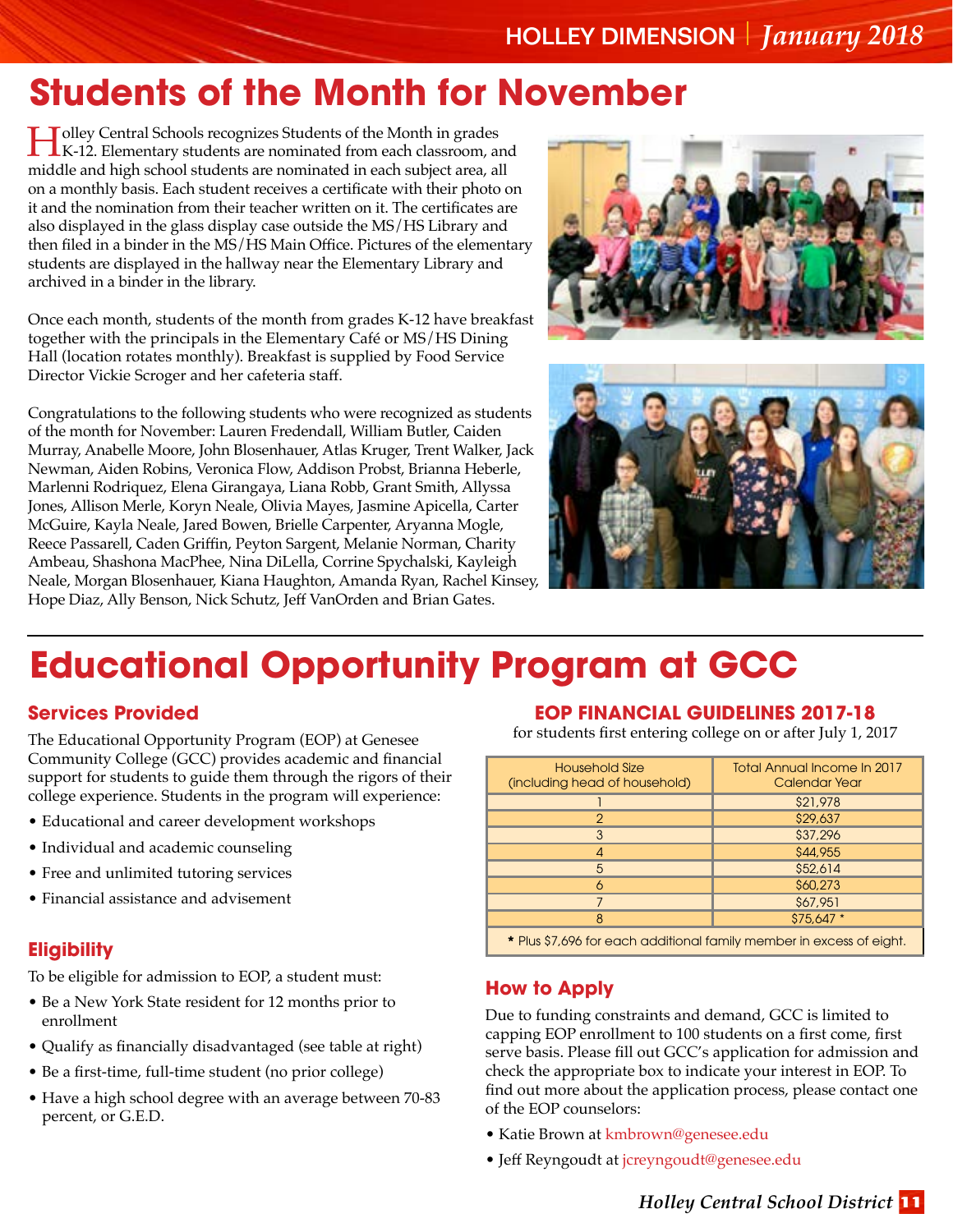### **Students of the Month for November**

Holley Central Schools recognizes Students of the Month in grades K-12. Elementary students are nominated from each classroom, and middle and high school students are nominated in each subject area, all on a monthly basis. Each student receives a certificate with their photo on it and the nomination from their teacher written on it. The certificates are also displayed in the glass display case outside the MS/HS Library and then filed in a binder in the MS/HS Main Office. Pictures of the elementary students are displayed in the hallway near the Elementary Library and archived in a binder in the library.

Once each month, students of the month from grades K-12 have breakfast together with the principals in the Elementary Café or MS/HS Dining Hall (location rotates monthly). Breakfast is supplied by Food Service Director Vickie Scroger and her cafeteria staff.

Congratulations to the following students who were recognized as students of the month for November: Lauren Fredendall, William Butler, Caiden Murray, Anabelle Moore, John Blosenhauer, Atlas Kruger, Trent Walker, Jack Newman, Aiden Robins, Veronica Flow, Addison Probst, Brianna Heberle, Marlenni Rodriquez, Elena Girangaya, Liana Robb, Grant Smith, Allyssa Jones, Allison Merle, Koryn Neale, Olivia Mayes, Jasmine Apicella, Carter McGuire, Kayla Neale, Jared Bowen, Brielle Carpenter, Aryanna Mogle, Reece Passarell, Caden Griffin, Peyton Sargent, Melanie Norman, Charity Ambeau, Shashona MacPhee, Nina DiLella, Corrine Spychalski, Kayleigh Neale, Morgan Blosenhauer, Kiana Haughton, Amanda Ryan, Rachel Kinsey, Hope Diaz, Ally Benson, Nick Schutz, Jeff VanOrden and Brian Gates.





### **Educational Opportunity Program at GCC**

#### **Services Provided**

The Educational Opportunity Program (EOP) at Genesee Community College (GCC) provides academic and financial support for students to guide them through the rigors of their college experience. Students in the program will experience:

- Educational and career development workshops
- Individual and academic counseling
- Free and unlimited tutoring services
- Financial assistance and advisement

#### **Eligibility**

To be eligible for admission to EOP, a student must:

- Be a New York State resident for 12 months prior to enrollment
- Qualify as financially disadvantaged (see table at right)
- Be a first-time, full-time student (no prior college)
- Have a high school degree with an average between 70-83 percent, or G.E.D.

#### **EOP FINANCIAL GUIDELINES 2017-18**

for students first entering college on or after July 1, 2017

| <b>Household Size</b><br>(including head of household)               | Total Annual Income In 2017<br>Calendar Year |
|----------------------------------------------------------------------|----------------------------------------------|
|                                                                      | \$21,978                                     |
| 2                                                                    | \$29,637                                     |
| 3                                                                    | \$37,296                                     |
| 4                                                                    | \$44,955                                     |
| 5                                                                    | \$52,614                                     |
| 6                                                                    | \$60,273                                     |
|                                                                      | \$67,951                                     |
| 8                                                                    | \$75,647 *                                   |
| * Plus \$7,696 for each additional family member in excess of eight. |                                              |

#### **How to Apply**

Due to funding constraints and demand, GCC is limited to capping EOP enrollment to 100 students on a first come, first serve basis. Please fill out GCC's application for admission and check the appropriate box to indicate your interest in EOP. To find out more about the application process, please contact one of the EOP counselors:

- Katie Brown at [kmbrown@genesee.edu](mailto:kmbrown@genesee.edu)
- Jeff Reyngoudt at [jcreyngoudt@genesee.edu](mailto:jcreyngoudt@genesee.edu)